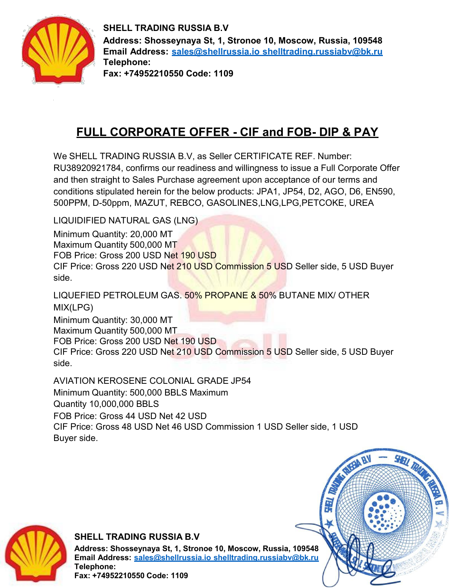

**SHELL TRADING RUSSIA B.V Address: Shosseynaya St, 1, Stronoe 10, Moscow, Russia, 109548 Email Address: sales@shellrussia.io shelltrading.russiabv@bk.ru Telephone: Fax: +74952210550 Code: 1109**

# **FULL CORPORATE OFFER - CIF and FOB- DIP & PAY**

We SHELL TRADING RUSSIA B.V, as Seller CERTIFICATE REF. Number: RU38920921784, confirms our readiness and willingness to issue a Full Corporate Offer and then straight to Sales Purchase agreement upon acceptance of our terms and conditions stipulated herein for the below products: JPA1, JP54, D2, AGO, D6, EN590, 500PPM, D-50ppm, MAZUT, REBCO, GASOLINES,LNG,LPG,PETCOKE, UREA

LIQUIDIFIED NATURAL GAS (LNG)

Minimum Quantity: 20,000 MT Maximum Quantity 500,000 MT FOB Price: Gross 200 USD Net 190 USD CIF Price: Gross 220 USD Net 210 USD Commission 5 USD Seller side, 5 USD Buyer side.

LIQUEFIED PETROLEUM GAS. 50% PROPANE & 50% BUTANE MIX/ OTHER MIX(LPG)

Minimum Quantity: 30,000 MT Maximum Quantity 500,000 MT FOB Price: Gross 200 USD Net 190 USD CIF Price: Gross 220 USD Net 210 USD Commission 5 USD Seller side, 5 USD Buyer side.

AVIATION KEROSENE COLONIAL GRADE JP54 Minimum Quantity: 500,000 BBLS Maximum Quantity 10,000,000 BBLS FOB Price: Gross 44 USD Net 42 USD CIF Price: Gross 48 USD Net 46 USD Commission 1 USD Seller side, 1 USD Buyer side.

à,



#### **SHELL TRADING RUSSIA B.V**

**Address: Shosseynaya St, 1, Stronoe 10, Moscow, Russia, 109548 Email Address: sales@shellrussia.io shelltrading.russiabv@bk.ru Telephone: Fax: +74952210550 Code: 1109**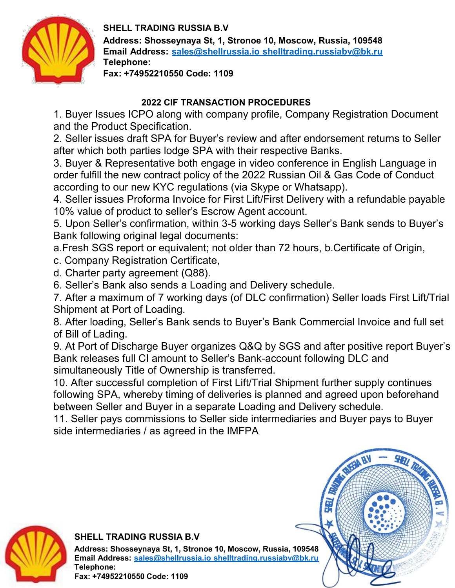

#### **SHELL TRADING RUSSIA B.V**

**Address: Shosseynaya St, 1, Stronoe 10, Moscow, Russia, 109548 Email Address: sales@shellrussia.io shelltrading.russiabv@bk.ru Telephone:**

**Fax: +74952210550 Code: 1109**

### **2022 CIF TRANSACTION PROCEDURES**

1. Buyer Issues ICPO along with company profile, Company Registration Document and the Product Specification.

2. Seller issues draft SPA for Buyer's review and after endorsement returns to Seller after which both parties lodge SPA with their respective Banks.

3. Buyer & Representative both engage in video conference in English Language in order fulfill the new contract policy of the 2022 Russian Oil & Gas Code of Conduct according to our new KYC regulations (via Skype or Whatsapp).

4. Seller issues Proforma Invoice for First Lift/First Delivery with a refundable payable 10% value of product to seller's Escrow Agent account.

5. Upon Seller's confirmation, within 3-5 working days Seller's Bank sends to Buyer's Bank following original legal documents:

a.Fresh SGS report or equivalent; not older than 72 hours, b.Certificate of Origin,

c. Company Registration Certificate,

- d. Charter party agreement (Q88).
- 6. Seller's Bank also sends a Loading and Delivery schedule.

7. After a maximum of 7 working days (of DLC confirmation) Seller loads First Lift/Trial Shipment at Port of Loading.

8. After loading, Seller's Bank sends to Buyer's Bank Commercial Invoice and full set of Bill of Lading.

9. At Port of Discharge Buyer organizes Q&Q by SGS and after positive report Buyer's Bank releases full CI amount to Seller's Bank-account following DLC and simultaneously Title of Ownership is transferred.

10. After successful completion of First Lift/Trial Shipment further supply continues following SPA, whereby timing of deliveries is planned and agreed upon beforehand between Seller and Buyer in a separate Loading and Delivery schedule.

11. Seller pays commissions to Seller side intermediaries and Buyer pays to Buyer side intermediaries / as agreed in the IMFPA



### **SHELL TRADING RUSSIA B.V**

**Address: Shosseynaya St, 1, Stronoe 10, Moscow, Russia, 109548 Email Address: sales@shellrussia.io shelltrading.russiabv@bk.ru Telephone:**